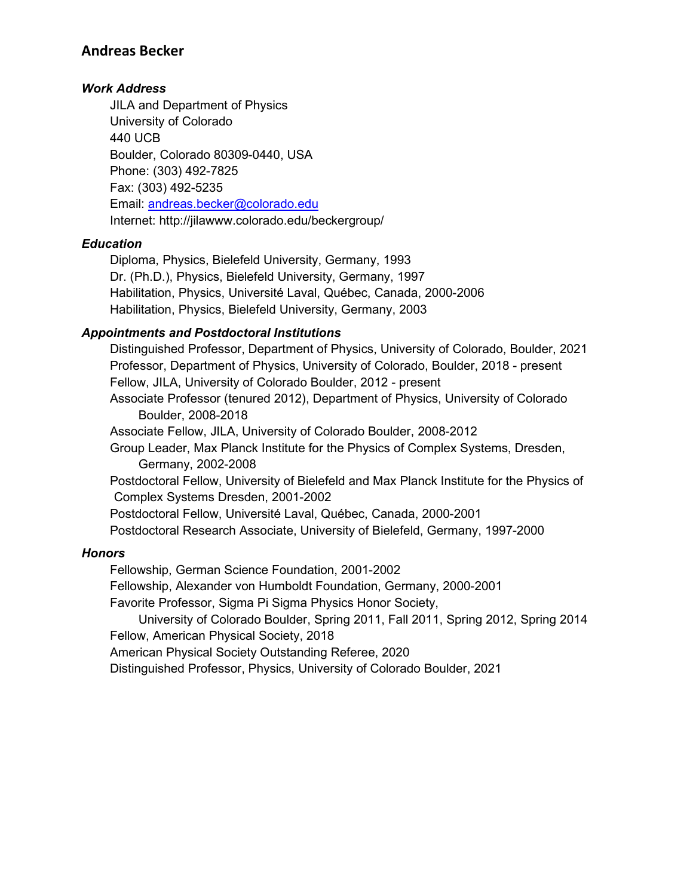## **Andreas Becker**

## *Work Address*

JILA and Department of Physics University of Colorado 440 UCB Boulder, Colorado 80309-0440, USA Phone: (303) 492-7825 Fax: (303) 492-5235 Email: andreas.becker@colorado.edu Internet: http://jilawww.colorado.edu/beckergroup/

#### *Education*

Diploma, Physics, Bielefeld University, Germany, 1993 Dr. (Ph.D.), Physics, Bielefeld University, Germany, 1997 Habilitation, Physics, Université Laval, Québec, Canada, 2000-2006 Habilitation, Physics, Bielefeld University, Germany, 2003

## *Appointments and Postdoctoral Institutions*

Distinguished Professor, Department of Physics, University of Colorado, Boulder, 2021 Professor, Department of Physics, University of Colorado, Boulder, 2018 - present Fellow, JILA, University of Colorado Boulder, 2012 - present Associate Professor (tenured 2012), Department of Physics, University of Colorado Boulder, 2008-2018 Associate Fellow, JILA, University of Colorado Boulder, 2008-2012 Group Leader, Max Planck Institute for the Physics of Complex Systems, Dresden, Germany, 2002-2008 Postdoctoral Fellow, University of Bielefeld and Max Planck Institute for the Physics of Complex Systems Dresden, 2001-2002 Postdoctoral Fellow, Université Laval, Québec, Canada, 2000-2001 Postdoctoral Research Associate, University of Bielefeld, Germany, 1997-2000

#### *Honors*

Fellowship, German Science Foundation, 2001-2002 Fellowship, Alexander von Humboldt Foundation, Germany, 2000-2001 Favorite Professor, Sigma Pi Sigma Physics Honor Society, University of Colorado Boulder, Spring 2011, Fall 2011, Spring 2012, Spring 2014 Fellow, American Physical Society, 2018 American Physical Society Outstanding Referee, 2020

Distinguished Professor, Physics, University of Colorado Boulder, 2021